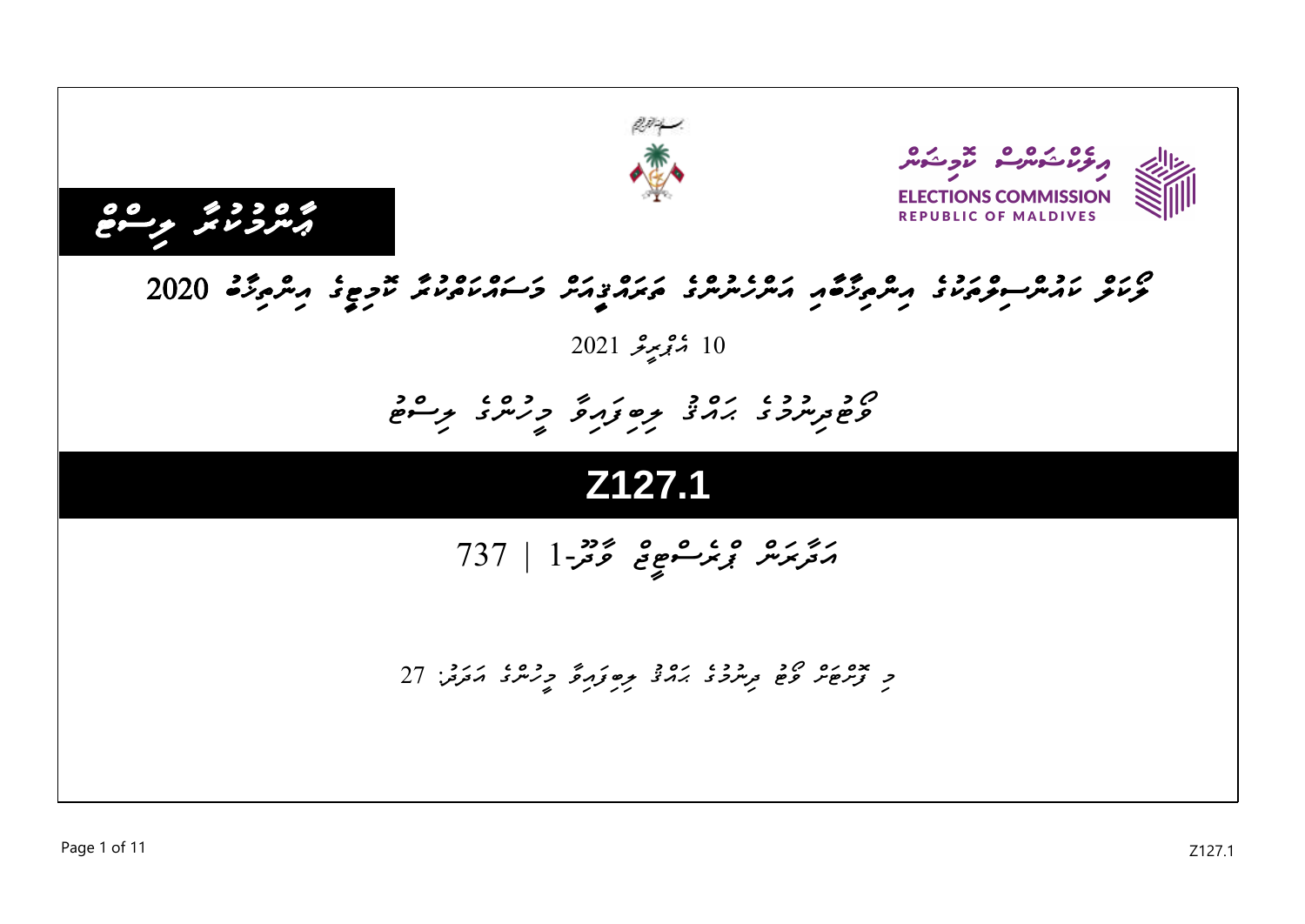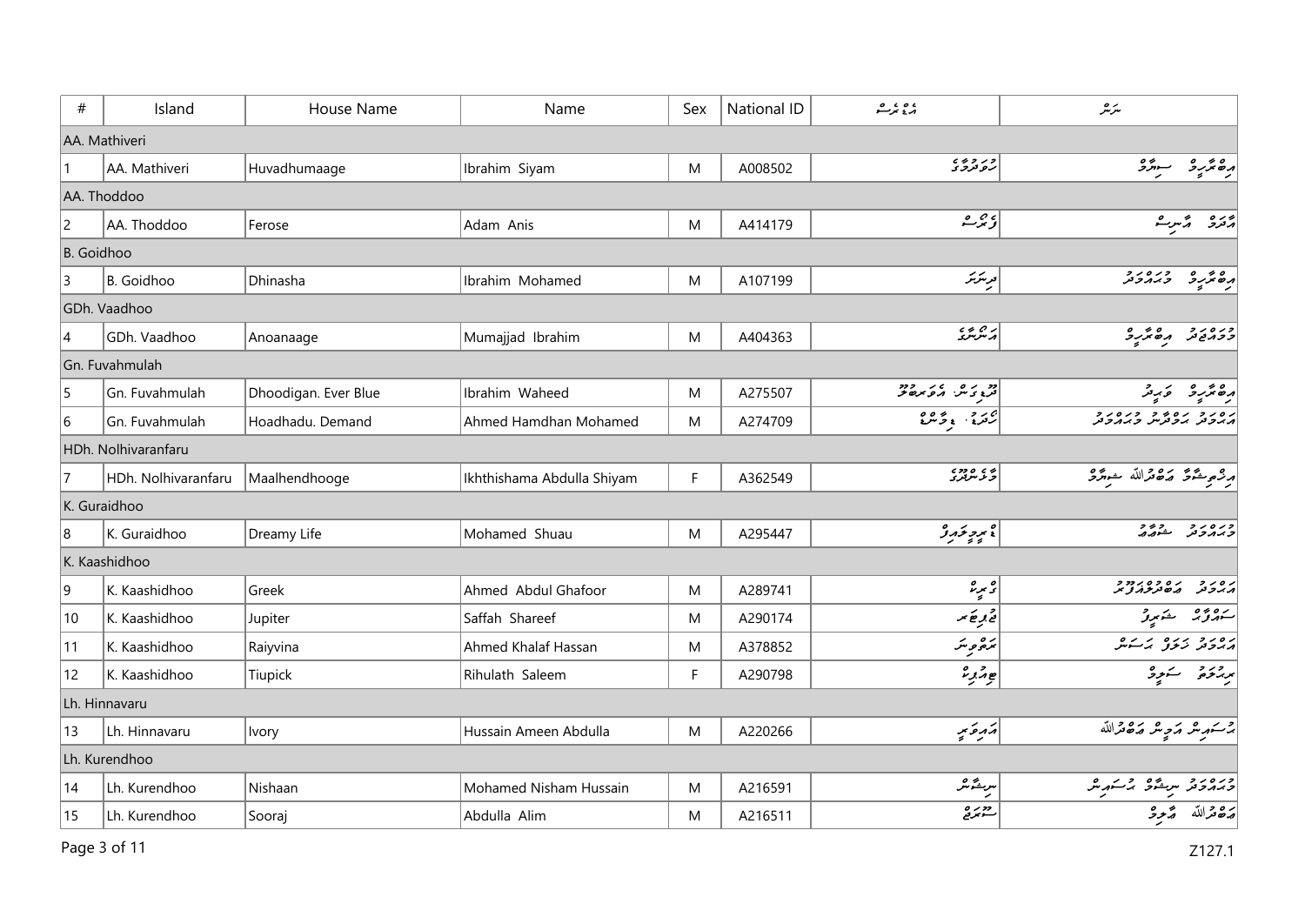| #              | Island              | House Name           | Name                       | Sex       | National ID | ، ه ، مرگ                     | ىئرىتر                                                 |
|----------------|---------------------|----------------------|----------------------------|-----------|-------------|-------------------------------|--------------------------------------------------------|
|                | AA. Mathiveri       |                      |                            |           |             |                               |                                                        |
|                | AA. Mathiveri       | Huvadhumaage         | Ibrahim Siyam              | ${\sf M}$ | A008502     |                               | وە ئۆر ئە                                              |
|                | AA. Thoddoo         |                      |                            |           |             |                               |                                                        |
| $\mathcal{P}$  | AA. Thoddoo         | Ferose               | Adam Anis                  | ${\sf M}$ | A414179     | ې چ <sub>رم</sub><br>نو پر م  | وره ومرے                                               |
| B. Goidhoo     |                     |                      |                            |           |             |                               |                                                        |
| 3              | B. Goidhoo          | Dhinasha             | Ibrahim Mohamed            | M         | A107199     | امریزیز                       | ת היני בגת בנ                                          |
|                | GDh. Vaadhoo        |                      |                            |           |             |                               |                                                        |
| $\overline{4}$ | GDh. Vaadhoo        | Anoanaage            | Mumajjad Ibrahim           | M         | A404363     | ىر تەرىپە ي                   | כנים נפי השילים                                        |
|                | Gn. Fuvahmulah      |                      |                            |           |             |                               |                                                        |
| 5              | Gn. Fuvahmulah      | Dhoodigan. Ever Blue | Ibrahim Waheed             | M         | A275507     | دو پر مهر در دود              | مەھترىرى ئەيەتر                                        |
| 6              | Gn. Fuvahmulah      | Hoadhadu. Demand     | Ahmed Hamdhan Mohamed      | M         | A274709     | بر د و په وه<br>  رسمه و څمنه | . סגב גם זה בגם גב<br>גגבת גבתית בגבבת                 |
|                | HDh. Nolhivaranfaru |                      |                            |           |             |                               |                                                        |
|                | HDh. Nolhivaranfaru | Maalhendhooge        | Ikhthishama Abdulla Shiyam | F         | A362549     | ه به ۵ دو به<br>تر تر سربر پر | مِ رَصِيحَةً مَ صَعْرَاللَّهُ ۖ سُومَّرَةً             |
|                | K. Guraidhoo        |                      |                            |           |             |                               |                                                        |
| 8              | K. Guraidhoo        | Dreamy Life          | Mohamed Shuau              | ${\sf M}$ | A295447     | ، <sub>موج</sub> و برو<br>.   | وره رو دور<br>وبرمرونر شوره                            |
|                | K. Kaashidhoo       |                      |                            |           |             |                               |                                                        |
| 9              | K. Kaashidhoo       | Greek                | Ahmed Abdul Ghafoor        | M         | A289741     | ه مړين<br>د                   | ג סג כ"ג ג ס כ ס ג בר כ"ג<br>הג כ"ב "ה ה שינו יב הצייג |
| $ 10\rangle$   | K. Kaashidhoo       | Jupiter              | Saffah Shareef             | M         | A290174     | قح بوڪ <sup>ي</sup> ر         | سەرەپرە سەرىرۇ                                         |
| 11             | K. Kaashidhoo       | Raiyvina             | Ahmed Khalaf Hassan        | M         | A378852     | برە وبىر                      | رەرد زرە زىكە                                          |
| 12             | K. Kaashidhoo       | Tiupick              | Rihulath Saleem            | F.        | A290798     | جوړېږمنځ                      | ىرتە ئۇ ئىسرو                                          |
|                | Lh. Hinnavaru       |                      |                            |           |             |                               |                                                        |
| 13             | Lh. Hinnavaru       | <b>Ivory</b>         | Hussain Ameen Abdulla      | ${\sf M}$ | A220266     | وزوعي                         | جُسَمَ مِنْ مَرَحٍ مِنْ مَنْ قَدْاللَّهُ               |
|                | Lh. Kurendhoo       |                      |                            |           |             |                               |                                                        |
| 14             | Lh. Kurendhoo       | Nishaan              | Mohamed Nisham Hussain     | M         | A216591     | سرىشەشر                       | ورەرو سرشۇ بىسكەش                                      |
| 15             | Lh. Kurendhoo       | Sooraj               | Abdulla Alim               | M         | A216511     | دو پر ہ<br>سنونو تع           | مَدْهِ مِنْ اللَّهُ مُنْ مِنْ حَرْدٌ                   |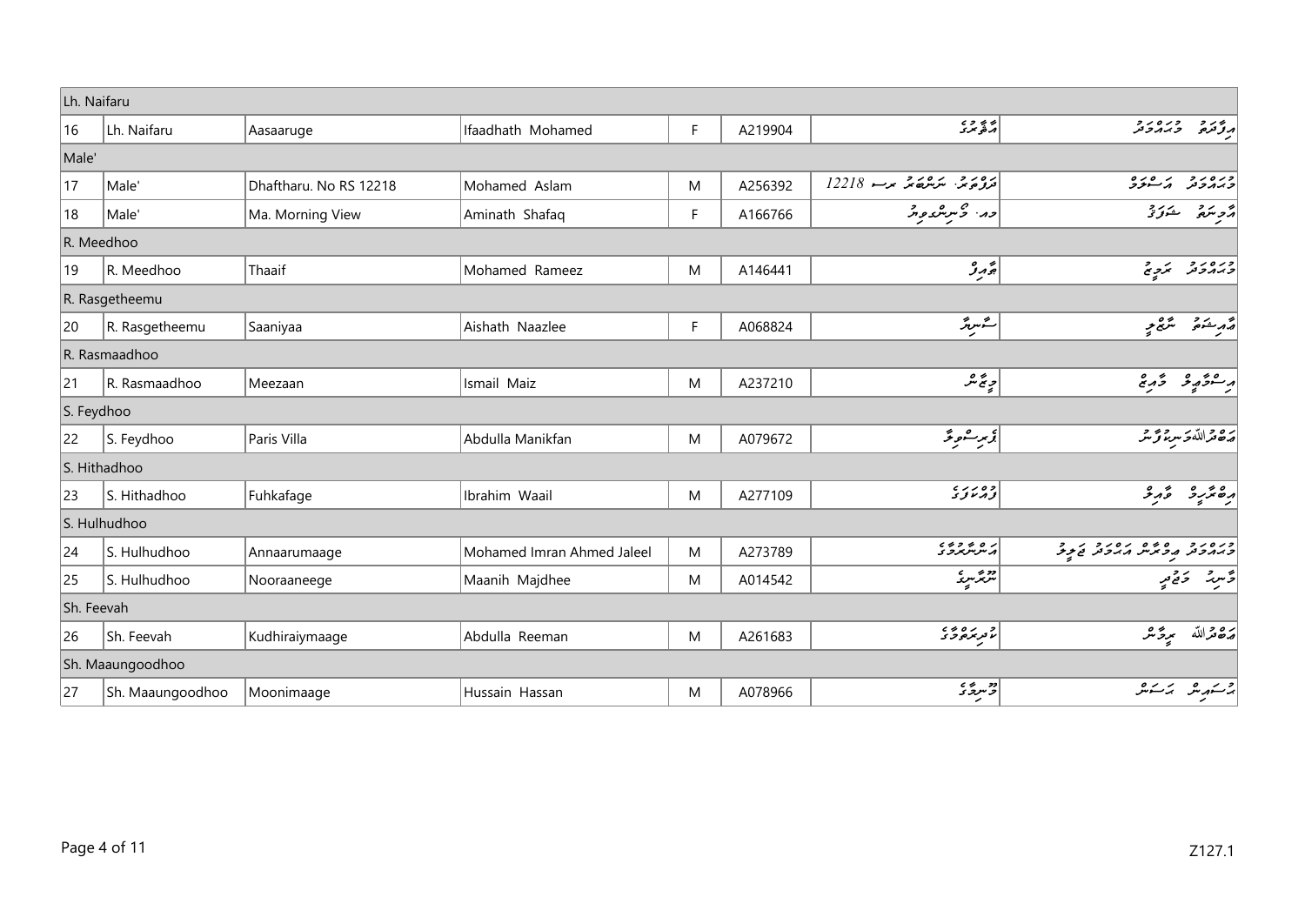| Lh. Naifaru |                  |                        |                            |           |         |                                  |                                                       |
|-------------|------------------|------------------------|----------------------------|-----------|---------|----------------------------------|-------------------------------------------------------|
| 16          | Lh. Naifaru      | Aasaaruge              | Ifaadhath Mohamed          | F         | A219904 | پر چو ۽<br>  پر پي پير پر        | و ره ر و<br>تر پروتر<br>د محمد و<br>معمول حم          |
| Male'       |                  |                        |                            |           |         |                                  |                                                       |
| 17          | Male'            | Dhaftharu. No RS 12218 | Mohamed Aslam              | M         | A256392 | تروم پر سرچينې بر سر 12218       | برعبره<br>و ر ه ر و<br><i>و بر</i> پر <del>و</del> تر |
| 18          | Male'            | Ma. Morning View       | Aminath Shafaq             | F         | A166766 | وړ٠ وګېږ شوه پر                  | د کرد و کرد و                                         |
|             | R. Meedhoo       |                        |                            |           |         |                                  |                                                       |
| 19          | R. Meedhoo       | Thaaif                 | Mohamed Rameez             | M         | A146441 | پر مرتز                          | ورەرو كردو                                            |
|             | R. Rasgetheemu   |                        |                            |           |         |                                  |                                                       |
| 20          | R. Rasgetheemu   | Saaniyaa               | Aishath Naazlee            | F         | A068824 | سەّسرد                           | ۇرمىنى ئىنج م                                         |
|             | R. Rasmaadhoo    |                        |                            |           |         |                                  |                                                       |
| 21          | R. Rasmaadhoo    | Meezaan                | Ismail Maiz                | ${\sf M}$ | A237210 | جەنچىر                           | ر شۇر ئۇرغ                                            |
| S. Feydhoo  |                  |                        |                            |           |         |                                  |                                                       |
| 22          | S. Feydhoo       | Paris Villa            | Abdulla Manikfan           | ${\sf M}$ | A079672 | ۇ برىشو ئۇ                       | ر ھ قراللّه <sub>ح</sub> سرير تو سر                   |
|             | S. Hithadhoo     |                        |                            |           |         |                                  |                                                       |
| 23          | S. Hithadhoo     | Fuhkafage              | Ibrahim Waail              | M         | A277109 | د ه د ر ،<br>ز ۱۸ ز د            | رەترىر ئەر                                            |
|             | S. Hulhudhoo     |                        |                            |           |         |                                  |                                                       |
| 24          | S. Hulhudhoo     | Annaarumaage           | Mohamed Imran Ahmed Jaleel | M         | A273789 | ر ه په وه و<br>مرس پرچ د         | ورەر دە ئەھەرەر دەر دە                                |
| 25          | S. Hulhudhoo     | Nooraaneege            | Maanih Majdhee             | ${\sf M}$ | A014542 | بزلز میرند<br>سربر سر            | ۇسر2 كەقمىر                                           |
| Sh. Feevah  |                  |                        |                            |           |         |                                  |                                                       |
| 26          | Sh. Feevah       | Kudhiraiymaage         | Abdulla Reeman             | ${\sf M}$ | A261683 | و ره وه و<br>ما تر پره و د       | پرځترالله مرځ شر                                      |
|             | Sh. Maaungoodhoo |                        |                            |           |         |                                  |                                                       |
| 27          | Sh. Maaungoodhoo | Moonimaage             | Hussain Hassan             | M         | A078966 | دو پر پر<br>تر سرچر <sub>ک</sub> | يز شهر شر پر سند شر                                   |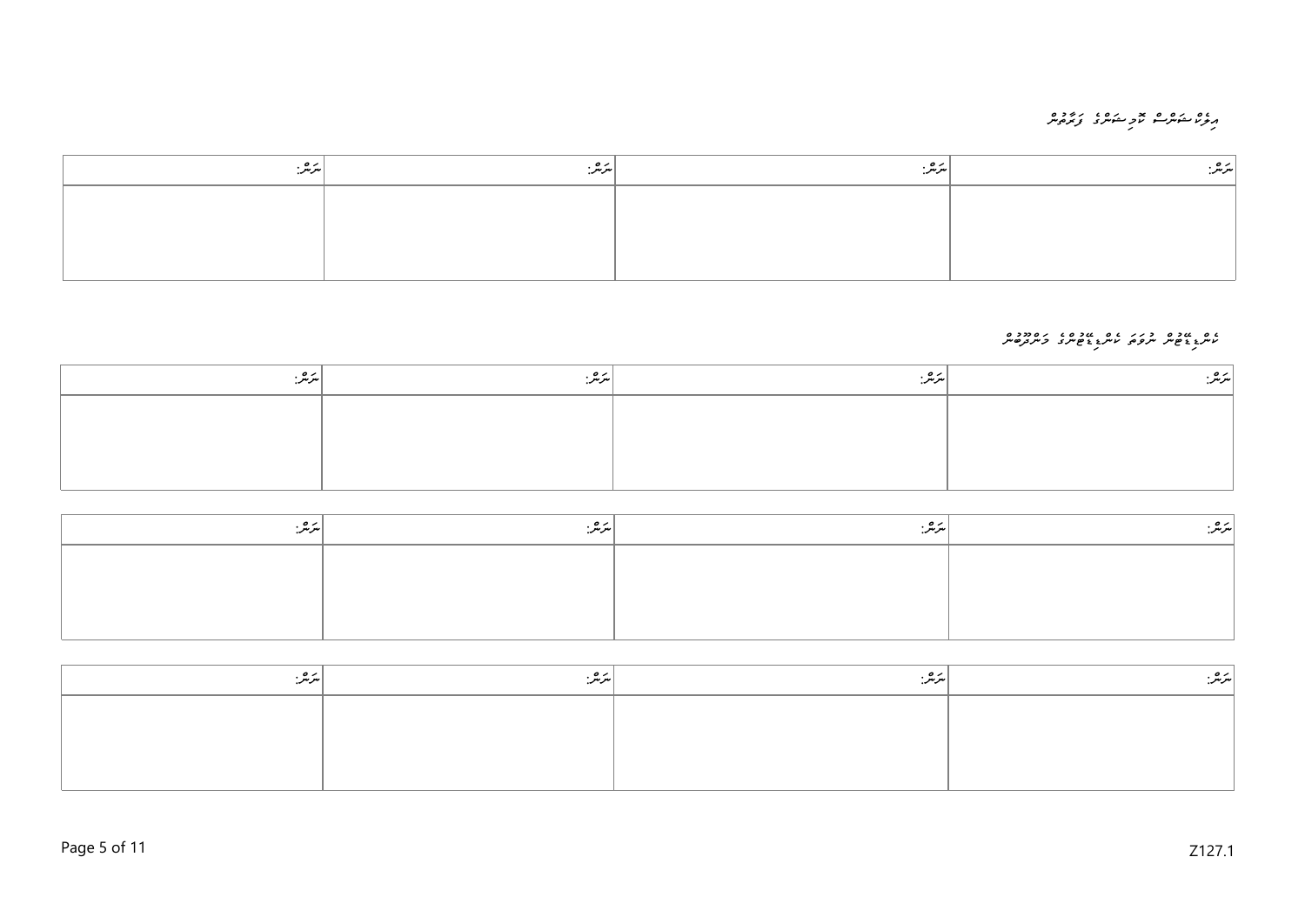## *w7qAn8m?sCw7mRo>u;wEw7mRw;sBo<*

| ' مرمر | 'يئرىثر: |
|--------|----------|
|        |          |
|        |          |
|        |          |

## *w7q9r@w7m>sCw7qHtFoFw7s;mAm=q7w7qHtFoFw7s;*

| بر ه | ىر مىر |  |
|------|--------|--|
|      |        |  |
|      |        |  |
|      |        |  |

| $\frac{2}{n}$ | $\overline{\phantom{a}}$ | اير هنه. | $\mathcal{O} \times$<br>سرسر |
|---------------|--------------------------|----------|------------------------------|
|               |                          |          |                              |
|               |                          |          |                              |
|               |                          |          |                              |

| ىرتىر: | 。<br>سر سر | .,<br>مرسر |
|--------|------------|------------|
|        |            |            |
|        |            |            |
|        |            |            |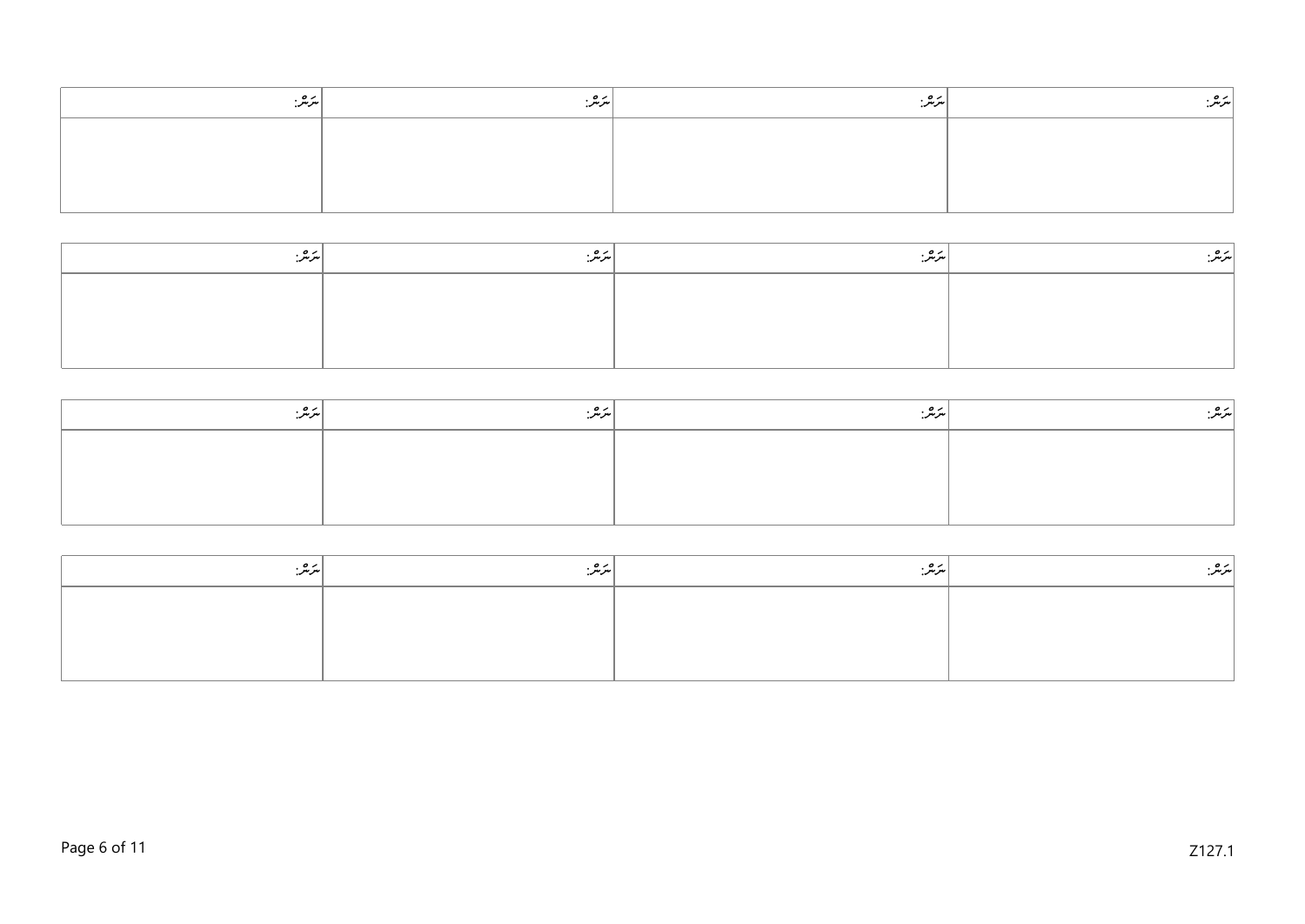| يزهر | $^{\circ}$ | ىئرىتر: |  |
|------|------------|---------|--|
|      |            |         |  |
|      |            |         |  |
|      |            |         |  |

| <sup>.</sup> سرسر. |  |
|--------------------|--|
|                    |  |
|                    |  |
|                    |  |

| ىئرىتر. | $\sim$ | ا بر هه. | لىرىش |
|---------|--------|----------|-------|
|         |        |          |       |
|         |        |          |       |
|         |        |          |       |

| $\overline{\phantom{a}}$<br>سرس. | ر ه<br>,,, | . . | 。<br>سرس. |
|----------------------------------|------------|-----|-----------|
|                                  |            |     |           |
|                                  |            |     |           |
|                                  |            |     |           |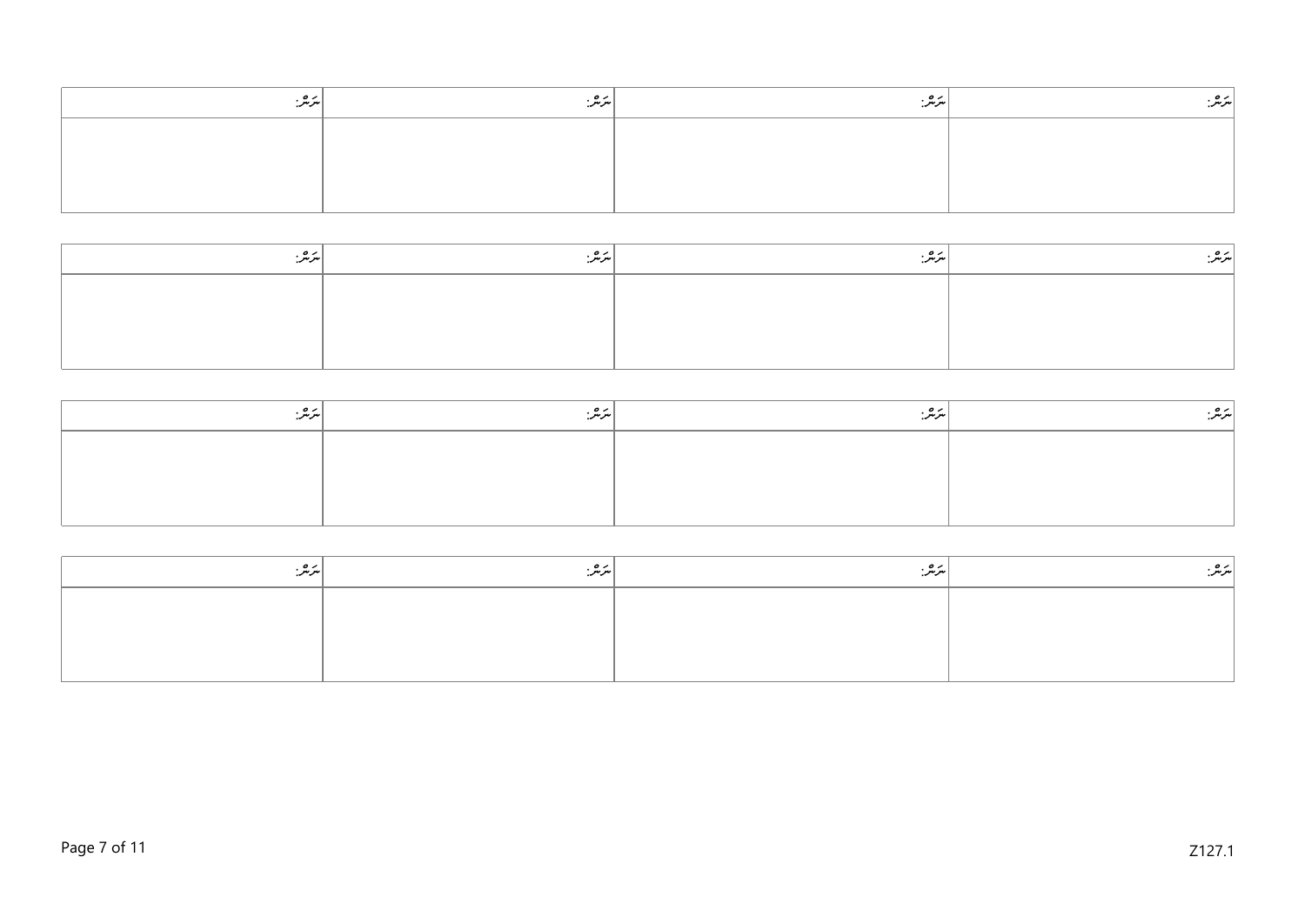| ير هو . | $\overline{\phantom{a}}$ | يرمر | اير هنه. |
|---------|--------------------------|------|----------|
|         |                          |      |          |
|         |                          |      |          |
|         |                          |      |          |

| ئىرتىر: | $\sim$<br>ا سرسر . | يئرمثر | o . |
|---------|--------------------|--------|-----|
|         |                    |        |     |
|         |                    |        |     |
|         |                    |        |     |

| نتزيتر به | 。 | 。<br>سرسر. | o <i>~</i> |
|-----------|---|------------|------------|
|           |   |            |            |
|           |   |            |            |
|           |   |            |            |

|  | . ه |
|--|-----|
|  |     |
|  |     |
|  |     |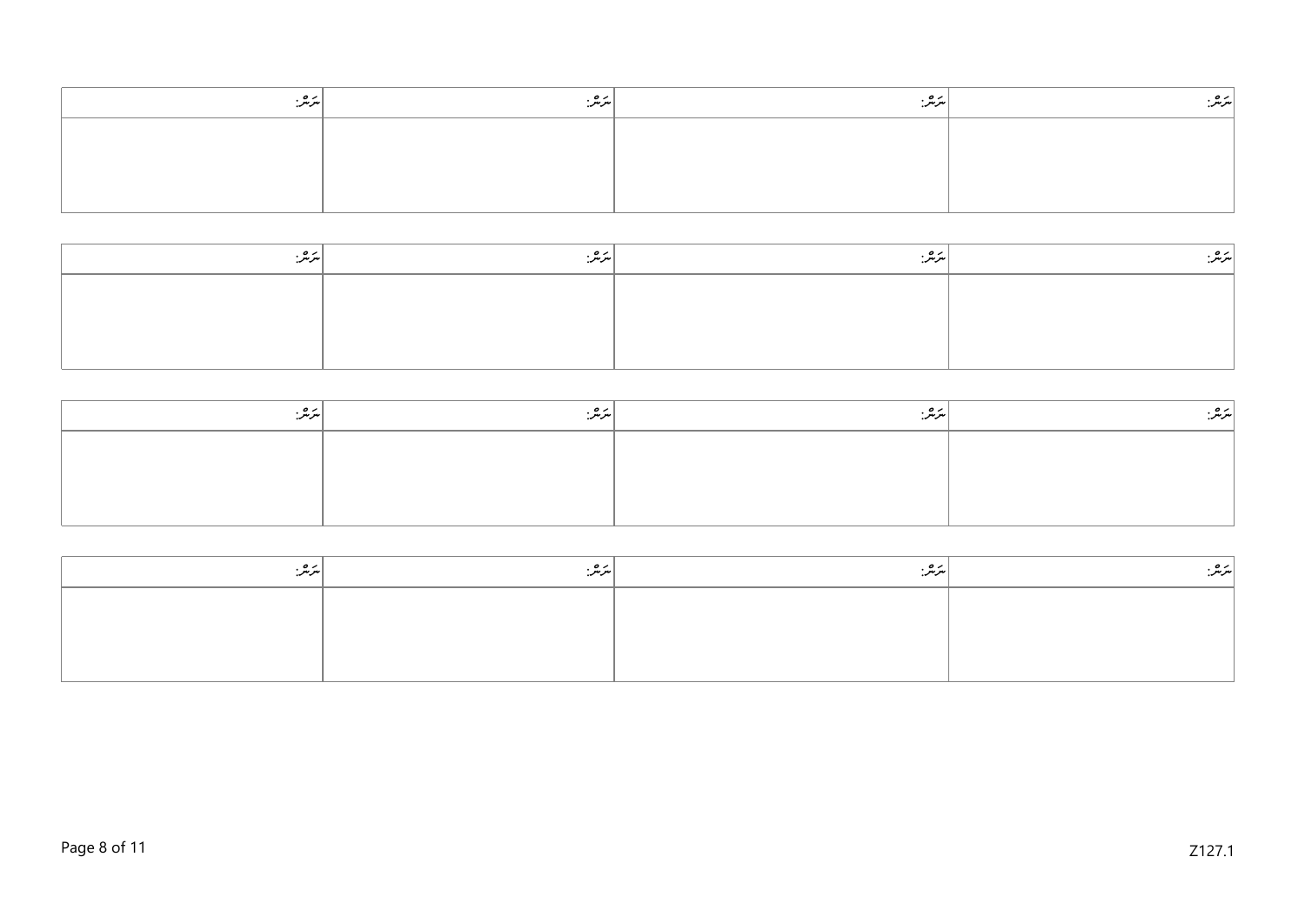| ير هو . | $\overline{\phantom{a}}$ | يرمر | اير هنه. |
|---------|--------------------------|------|----------|
|         |                          |      |          |
|         |                          |      |          |
|         |                          |      |          |

| ىر ھ | $\circ$ $\sim$<br>ا سرسر. | $\circ$ $\sim$<br>' سرسر . | o <i>~</i><br>سرسر. |
|------|---------------------------|----------------------------|---------------------|
|      |                           |                            |                     |
|      |                           |                            |                     |
|      |                           |                            |                     |

| 'تترنثر: | 。<br>,,,, |  |
|----------|-----------|--|
|          |           |  |
|          |           |  |
|          |           |  |

|  | . ه |
|--|-----|
|  |     |
|  |     |
|  |     |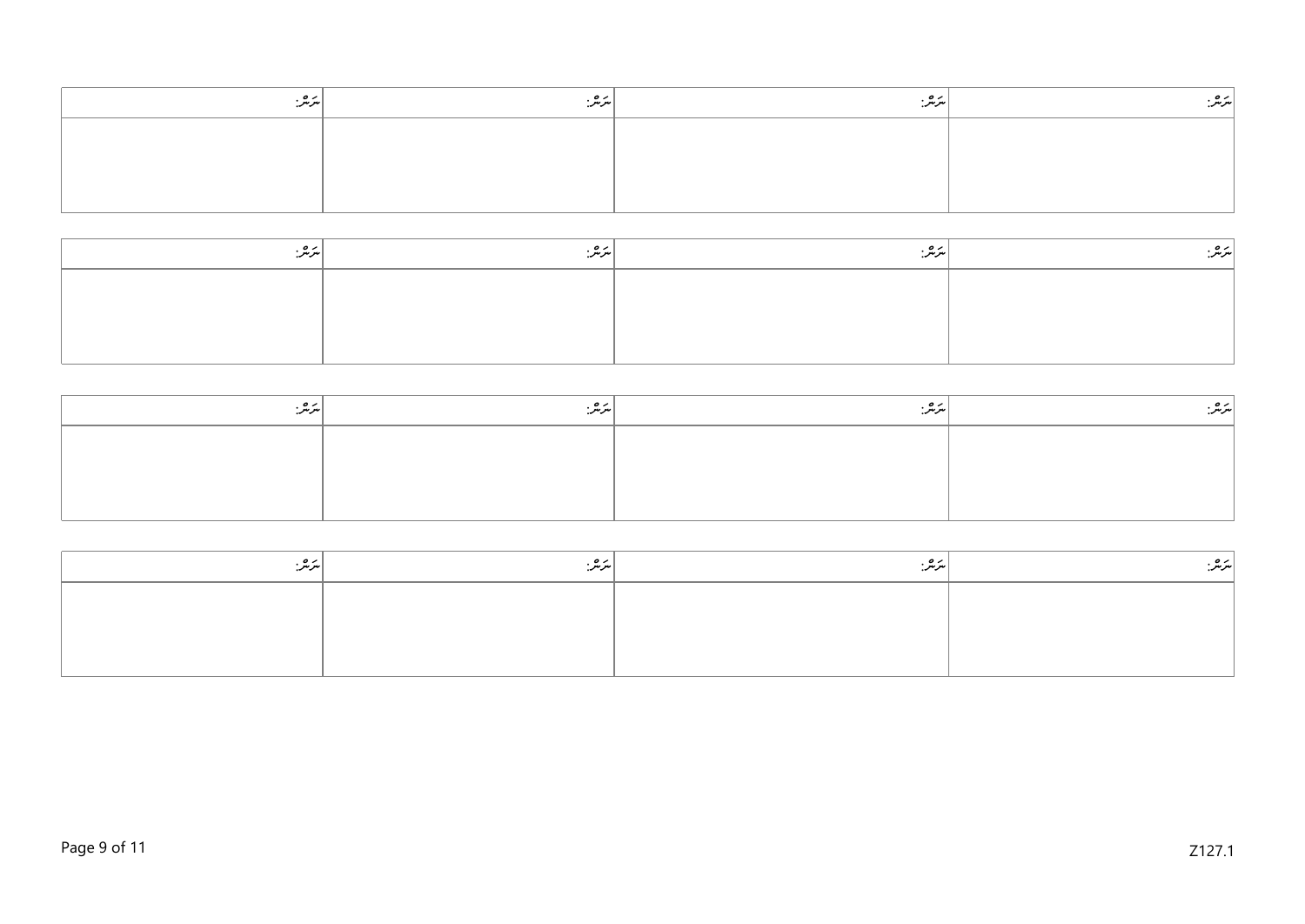| $\cdot$ | 。 | $\frac{\circ}{\cdot}$ | $\sim$<br>سرسر |
|---------|---|-----------------------|----------------|
|         |   |                       |                |
|         |   |                       |                |
|         |   |                       |                |

| ايرعر: | ر ه<br>. . |  |
|--------|------------|--|
|        |            |  |
|        |            |  |
|        |            |  |

| بر ه | 。 | $\overline{\phantom{0}}$<br>َ سومس. |  |
|------|---|-------------------------------------|--|
|      |   |                                     |  |
|      |   |                                     |  |
|      |   |                                     |  |

| 。<br>. س | ىرىىر |  |
|----------|-------|--|
|          |       |  |
|          |       |  |
|          |       |  |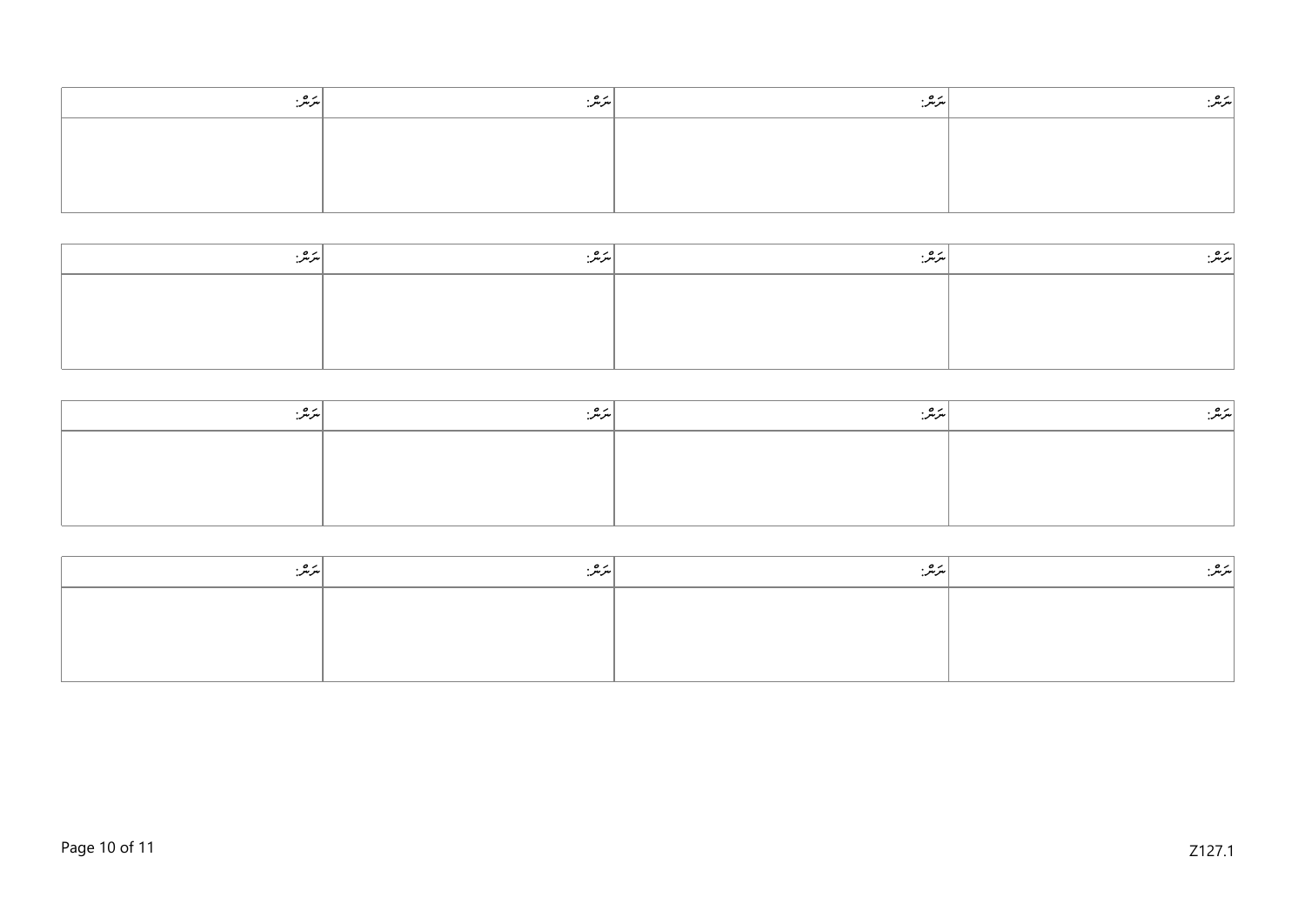| ير هو . | $\overline{\phantom{a}}$ | يرمر | اير هنه. |
|---------|--------------------------|------|----------|
|         |                          |      |          |
|         |                          |      |          |
|         |                          |      |          |

| ئىرتىر: | $\sim$<br>ا سرسر . | يئرمثر | o . |
|---------|--------------------|--------|-----|
|         |                    |        |     |
|         |                    |        |     |
|         |                    |        |     |

| 。 | . .<br>سمرسمد. | ىئرىتىز: |
|---|----------------|----------|
|   |                |          |
|   |                |          |
|   |                |          |

|  | . ه |
|--|-----|
|  |     |
|  |     |
|  |     |